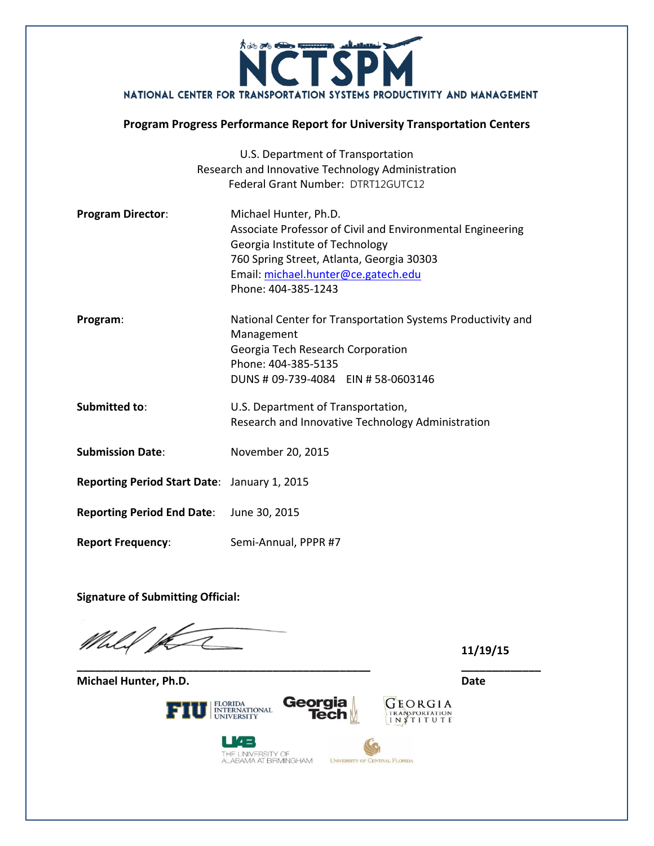

# **Program Progress Performance Report for University Transportation Centers**

|                                                     | U.S. Department of Transportation                           |  |  |
|-----------------------------------------------------|-------------------------------------------------------------|--|--|
|                                                     | Research and Innovative Technology Administration           |  |  |
|                                                     | Federal Grant Number: DTRT12GUTC12                          |  |  |
| <b>Program Director:</b>                            | Michael Hunter, Ph.D.                                       |  |  |
|                                                     | Associate Professor of Civil and Environmental Engineering  |  |  |
|                                                     | Georgia Institute of Technology                             |  |  |
|                                                     | 760 Spring Street, Atlanta, Georgia 30303                   |  |  |
|                                                     | Email: michael.hunter@ce.gatech.edu                         |  |  |
|                                                     | Phone: 404-385-1243                                         |  |  |
| Program:                                            | National Center for Transportation Systems Productivity and |  |  |
|                                                     | Management                                                  |  |  |
|                                                     | Georgia Tech Research Corporation                           |  |  |
|                                                     | Phone: 404-385-5135                                         |  |  |
|                                                     | DUNS # 09-739-4084 EIN # 58-0603146                         |  |  |
| <b>Submitted to:</b>                                | U.S. Department of Transportation,                          |  |  |
|                                                     | Research and Innovative Technology Administration           |  |  |
| <b>Submission Date:</b>                             | November 20, 2015                                           |  |  |
|                                                     |                                                             |  |  |
| <b>Reporting Period Start Date: January 1, 2015</b> |                                                             |  |  |
| <b>Reporting Period End Date:</b>                   | June 30, 2015                                               |  |  |
| <b>Report Frequency:</b>                            | Semi-Annual, PPPR #7                                        |  |  |

**Signature of Submitting Official:**

! P D

**11/19/15**

FLORIDA<br>INTERNATIONAL<br>UNIVERSITY FIUI



**\_\_\_\_\_\_\_\_\_\_\_\_\_\_\_\_\_\_\_\_\_\_\_\_\_\_\_\_\_\_\_\_\_\_\_\_\_\_\_\_\_\_\_\_\_\_\_\_ \_\_\_\_\_\_\_\_\_\_\_\_\_**

U4B THE UNIVERSITY OF<br>ALABAMA AT BIRMINGHAM

**Michael Hunter, Ph.D. Date**



GEORGIA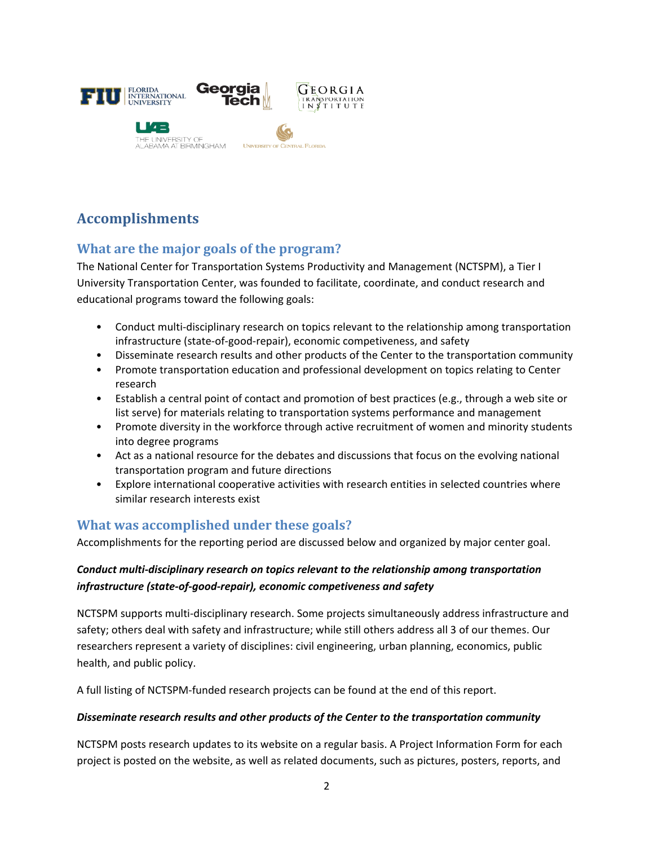

# **Accomplishments**

# **What are the major goals of the program?**

The National Center for Transportation Systems Productivity and Management (NCTSPM), a Tier I University Transportation Center, was founded to facilitate, coordinate, and conduct research and educational programs toward the following goals:

- Conduct multi-disciplinary research on topics relevant to the relationship among transportation infrastructure (state‐of‐good‐repair), economic competiveness, and safety
- Disseminate research results and other products of the Center to the transportation community
- Promote transportation education and professional development on topics relating to Center research
- Establish a central point of contact and promotion of best practices (e.g., through a web site or list serve) for materials relating to transportation systems performance and management
- Promote diversity in the workforce through active recruitment of women and minority students into degree programs
- Act as a national resource for the debates and discussions that focus on the evolving national transportation program and future directions
- Explore international cooperative activities with research entities in selected countries where similar research interests exist

# **What was accomplished under these goals?**

Accomplishments for the reporting period are discussed below and organized by major center goal.

### *Conduct multi‐disciplinary research on topics relevant to the relationship among transportation infrastructure (state‐of‐good‐repair), economic competiveness and safety*

NCTSPM supports multi‐disciplinary research. Some projects simultaneously address infrastructure and safety; others deal with safety and infrastructure; while still others address all 3 of our themes. Our researchers represent a variety of disciplines: civil engineering, urban planning, economics, public health, and public policy.

A full listing of NCTSPM‐funded research projects can be found at the end of this report.

#### *Disseminate research results and other products of the Center to the transportation community*

NCTSPM posts research updates to its website on a regular basis. A Project Information Form for each project is posted on the website, as well as related documents, such as pictures, posters, reports, and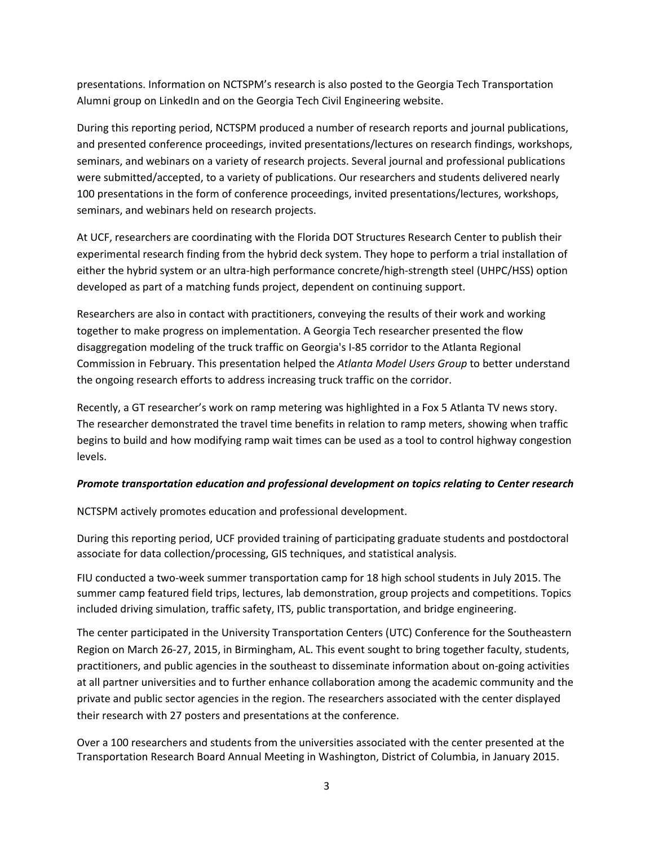presentations. Information on NCTSPM's research is also posted to the Georgia Tech Transportation Alumni group on LinkedIn and on the Georgia Tech Civil Engineering website.

During this reporting period, NCTSPM produced a number of research reports and journal publications, and presented conference proceedings, invited presentations/lectures on research findings, workshops, seminars, and webinars on a variety of research projects. Several journal and professional publications were submitted/accepted, to a variety of publications. Our researchers and students delivered nearly 100 presentations in the form of conference proceedings, invited presentations/lectures, workshops, seminars, and webinars held on research projects.

At UCF, researchers are coordinating with the Florida DOT Structures Research Center to publish their experimental research finding from the hybrid deck system. They hope to perform a trial installation of either the hybrid system or an ultra-high performance concrete/high-strength steel (UHPC/HSS) option developed as part of a matching funds project, dependent on continuing support.

Researchers are also in contact with practitioners, conveying the results of their work and working together to make progress on implementation. A Georgia Tech researcher presented the flow disaggregation modeling of the truck traffic on Georgia's I‐85 corridor to the Atlanta Regional Commission in February. This presentation helped the *Atlanta Model Users Group* to better understand the ongoing research efforts to address increasing truck traffic on the corridor.

Recently, a GT researcher's work on ramp metering was highlighted in a Fox 5 Atlanta TV news story. The researcher demonstrated the travel time benefits in relation to ramp meters, showing when traffic begins to build and how modifying ramp wait times can be used as a tool to control highway congestion levels.

#### *Promote transportation education and professional development on topics relating to Center research*

NCTSPM actively promotes education and professional development.

During this reporting period, UCF provided training of participating graduate students and postdoctoral associate for data collection/processing, GIS techniques, and statistical analysis.

FIU conducted a two-week summer transportation camp for 18 high school students in July 2015. The summer camp featured field trips, lectures, lab demonstration, group projects and competitions. Topics included driving simulation, traffic safety, ITS, public transportation, and bridge engineering.

The center participated in the University Transportation Centers (UTC) Conference for the Southeastern Region on March 26‐27, 2015, in Birmingham, AL. This event sought to bring together faculty, students, practitioners, and public agencies in the southeast to disseminate information about on‐going activities at all partner universities and to further enhance collaboration among the academic community and the private and public sector agencies in the region. The researchers associated with the center displayed their research with 27 posters and presentations at the conference.

Over a 100 researchers and students from the universities associated with the center presented at the Transportation Research Board Annual Meeting in Washington, District of Columbia, in January 2015.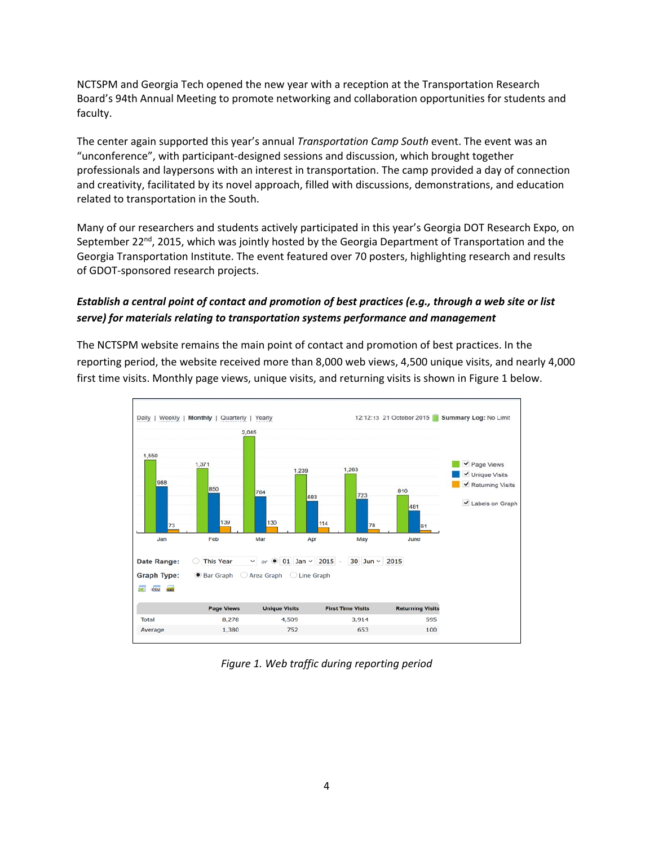NCTSPM and Georgia Tech opened the new year with a reception at the Transportation Research Board's 94th Annual Meeting to promote networking and collaboration opportunities for students and faculty.

The center again supported this year's annual *Transportation Camp South* event. The event was an "unconference", with participant‐designed sessions and discussion, which brought together professionals and laypersons with an interest in transportation. The camp provided a day of connection and creativity, facilitated by its novel approach, filled with discussions, demonstrations, and education related to transportation in the South.

Many of our researchers and students actively participated in this year's Georgia DOT Research Expo, on September 22<sup>nd</sup>, 2015, which was jointly hosted by the Georgia Department of Transportation and the Georgia Transportation Institute. The event featured over 70 posters, highlighting research and results of GDOT‐sponsored research projects.

#### Establish a central point of contact and promotion of best practices (e.g., through a web site or list *serve) for materials relating to transportation systems performance and management*

The NCTSPM website remains the main point of contact and promotion of best practices. In the reporting period, the website received more than 8,000 web views, 4,500 unique visits, and nearly 4,000 first time visits. Monthly page views, unique visits, and returning visits is shown in Figure 1 below.



*Figure 1. Web traffic during reporting period*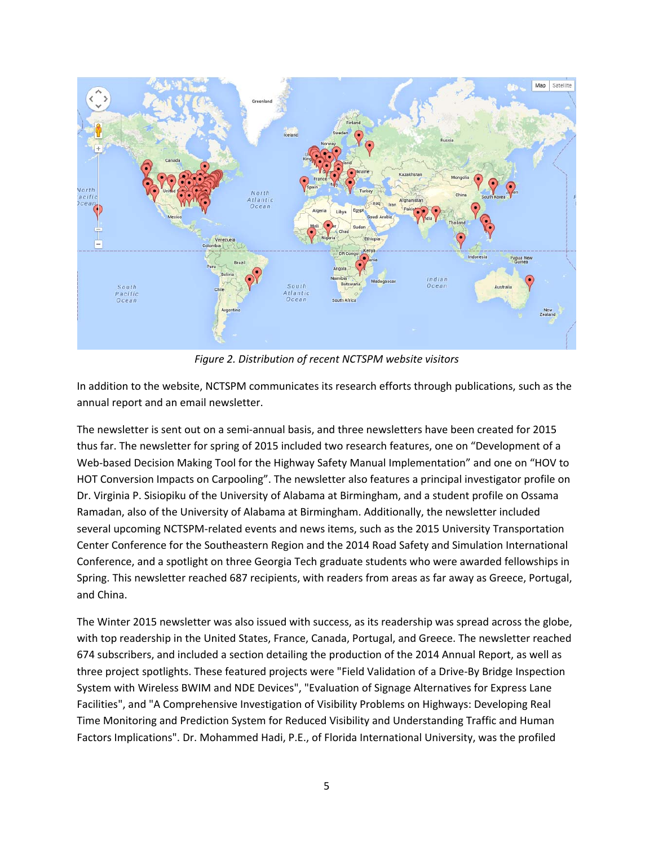

*Figure 2. Distribution of recent NCTSPM website visitors*

In addition to the website, NCTSPM communicates its research efforts through publications, such as the annual report and an email newsletter.

The newsletter is sent out on a semi‐annual basis, and three newsletters have been created for 2015 thus far. The newsletter for spring of 2015 included two research features, one on "Development of a Web-based Decision Making Tool for the Highway Safety Manual Implementation" and one on "HOV to HOT Conversion Impacts on Carpooling". The newsletter also features a principal investigator profile on Dr. Virginia P. Sisiopiku of the University of Alabama at Birmingham, and a student profile on Ossama Ramadan, also of the University of Alabama at Birmingham. Additionally, the newsletter included several upcoming NCTSPM‐related events and news items, such as the 2015 University Transportation Center Conference for the Southeastern Region and the 2014 Road Safety and Simulation International Conference, and a spotlight on three Georgia Tech graduate students who were awarded fellowships in Spring. This newsletter reached 687 recipients, with readers from areas as far away as Greece, Portugal, and China.

The Winter 2015 newsletter was also issued with success, as its readership was spread across the globe, with top readership in the United States, France, Canada, Portugal, and Greece. The newsletter reached 674 subscribers, and included a section detailing the production of the 2014 Annual Report, as well as three project spotlights. These featured projects were "Field Validation of a Drive‐By Bridge Inspection System with Wireless BWIM and NDE Devices", "Evaluation of Signage Alternatives for Express Lane Facilities", and "A Comprehensive Investigation of Visibility Problems on Highways: Developing Real Time Monitoring and Prediction System for Reduced Visibility and Understanding Traffic and Human Factors Implications". Dr. Mohammed Hadi, P.E., of Florida International University, was the profiled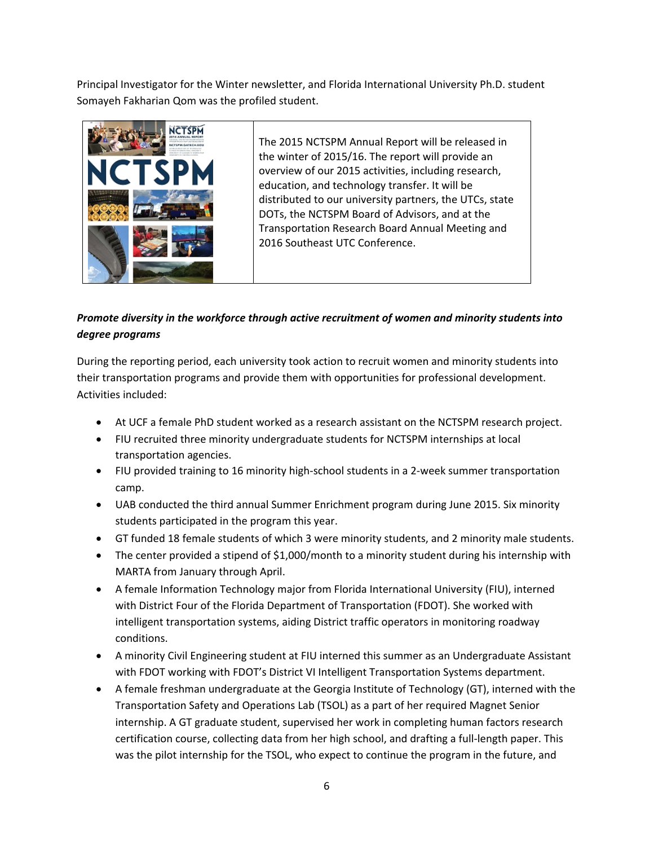Principal Investigator for the Winter newsletter, and Florida International University Ph.D. student Somayeh Fakharian Qom was the profiled student.



The 2015 NCTSPM Annual Report will be released in the winter of 2015/16. The report will provide an overview of our 2015 activities, including research, education, and technology transfer. It will be distributed to our university partners, the UTCs, state DOTs, the NCTSPM Board of Advisors, and at the Transportation Research Board Annual Meeting and 2016 Southeast UTC Conference.

# *Promote diversity in the workforce through active recruitment of women and minority students into degree programs*

During the reporting period, each university took action to recruit women and minority students into their transportation programs and provide them with opportunities for professional development. Activities included:

- At UCF a female PhD student worked as a research assistant on the NCTSPM research project.
- FIU recruited three minority undergraduate students for NCTSPM internships at local transportation agencies.
- FIU provided training to 16 minority high-school students in a 2-week summer transportation camp.
- UAB conducted the third annual Summer Enrichment program during June 2015. Six minority students participated in the program this year.
- GT funded 18 female students of which 3 were minority students, and 2 minority male students.
- The center provided a stipend of \$1,000/month to a minority student during his internship with MARTA from January through April.
- A female Information Technology major from Florida International University (FIU), interned with District Four of the Florida Department of Transportation (FDOT). She worked with intelligent transportation systems, aiding District traffic operators in monitoring roadway conditions.
- A minority Civil Engineering student at FIU interned this summer as an Undergraduate Assistant with FDOT working with FDOT's District VI Intelligent Transportation Systems department.
- A female freshman undergraduate at the Georgia Institute of Technology (GT), interned with the Transportation Safety and Operations Lab (TSOL) as a part of her required Magnet Senior internship. A GT graduate student, supervised her work in completing human factors research certification course, collecting data from her high school, and drafting a full‐length paper. This was the pilot internship for the TSOL, who expect to continue the program in the future, and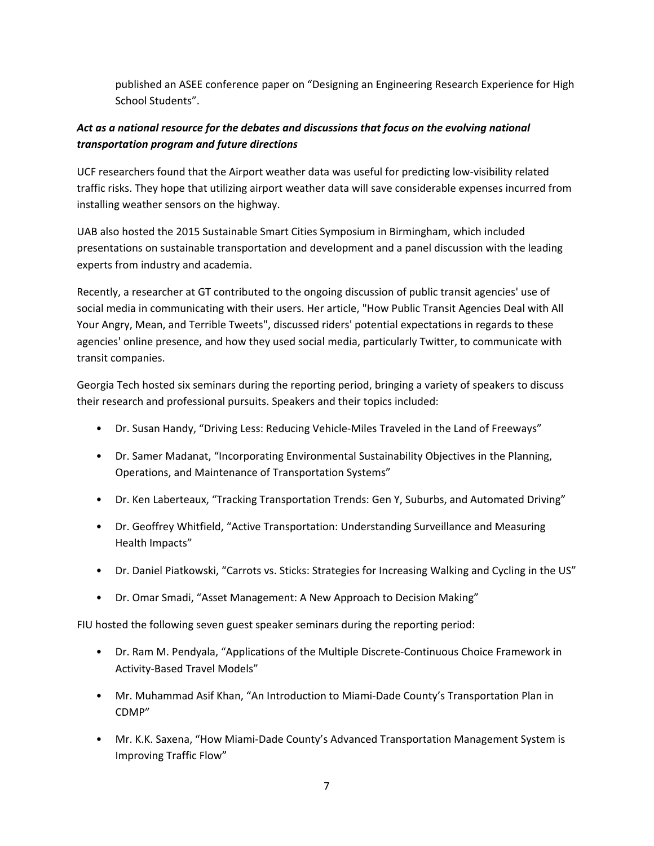published an ASEE conference paper on "Designing an Engineering Research Experience for High School Students".

### *Act as a national resource for the debates and discussions that focus on the evolving national transportation program and future directions*

UCF researchers found that the Airport weather data was useful for predicting low‐visibility related traffic risks. They hope that utilizing airport weather data will save considerable expenses incurred from installing weather sensors on the highway.

UAB also hosted the 2015 Sustainable Smart Cities Symposium in Birmingham, which included presentations on sustainable transportation and development and a panel discussion with the leading experts from industry and academia.

Recently, a researcher at GT contributed to the ongoing discussion of public transit agencies' use of social media in communicating with their users. Her article, "How Public Transit Agencies Deal with All Your Angry, Mean, and Terrible Tweets", discussed riders' potential expectations in regards to these agencies' online presence, and how they used social media, particularly Twitter, to communicate with transit companies.

Georgia Tech hosted six seminars during the reporting period, bringing a variety of speakers to discuss their research and professional pursuits. Speakers and their topics included:

- Dr. Susan Handy, "Driving Less: Reducing Vehicle-Miles Traveled in the Land of Freeways"
- Dr. Samer Madanat, "Incorporating Environmental Sustainability Objectives in the Planning, Operations, and Maintenance of Transportation Systems"
- Dr. Ken Laberteaux, "Tracking Transportation Trends: Gen Y, Suburbs, and Automated Driving"
- Dr. Geoffrey Whitfield, "Active Transportation: Understanding Surveillance and Measuring Health Impacts"
- Dr. Daniel Piatkowski, "Carrots vs. Sticks: Strategies for Increasing Walking and Cycling in the US"
- Dr. Omar Smadi, "Asset Management: A New Approach to Decision Making"

FIU hosted the following seven guest speaker seminars during the reporting period:

- Dr. Ram M. Pendyala, "Applications of the Multiple Discrete‐Continuous Choice Framework in Activity‐Based Travel Models"
- Mr. Muhammad Asif Khan, "An Introduction to Miami‐Dade County's Transportation Plan in CDMP"
- Mr. K.K. Saxena, "How Miami-Dade County's Advanced Transportation Management System is Improving Traffic Flow"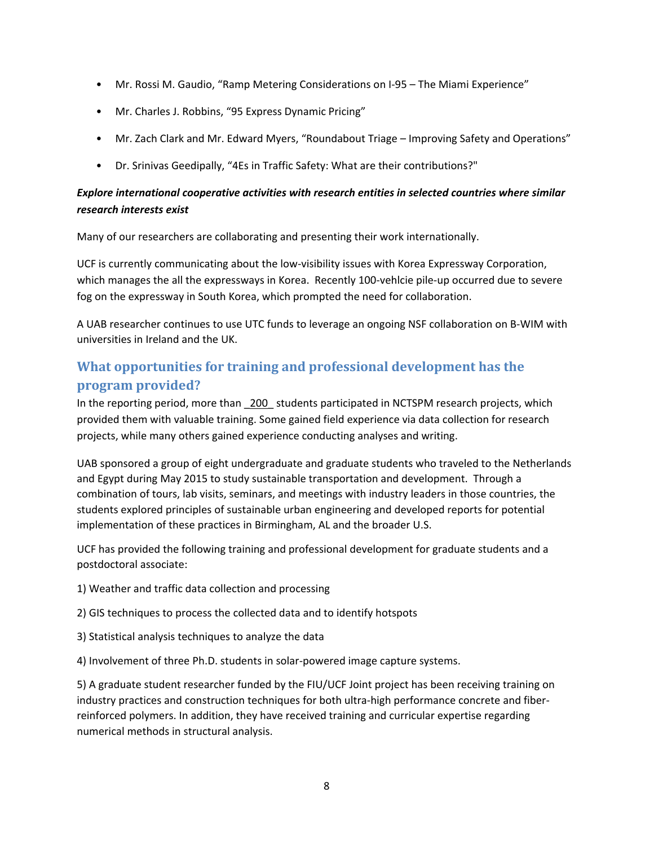- Mr. Rossi M. Gaudio, "Ramp Metering Considerations on I-95 The Miami Experience"
- Mr. Charles J. Robbins, "95 Express Dynamic Pricing"
- Mr. Zach Clark and Mr. Edward Myers, "Roundabout Triage Improving Safety and Operations"
- Dr. Srinivas Geedipally, "4Es in Traffic Safety: What are their contributions?"

#### *Explore international cooperative activities with research entities in selected countries where similar research interests exist*

Many of our researchers are collaborating and presenting their work internationally.

UCF is currently communicating about the low-visibility issues with Korea Expressway Corporation, which manages the all the expressways in Korea. Recently 100-vehlcie pile-up occurred due to severe fog on the expressway in South Korea, which prompted the need for collaboration.

A UAB researcher continues to use UTC funds to leverage an ongoing NSF collaboration on B‐WIM with universities in Ireland and the UK.

# **What opportunities for training and professional development has the program provided?**

In the reporting period, more than \_200\_ students participated in NCTSPM research projects, which provided them with valuable training. Some gained field experience via data collection for research projects, while many others gained experience conducting analyses and writing.

UAB sponsored a group of eight undergraduate and graduate students who traveled to the Netherlands and Egypt during May 2015 to study sustainable transportation and development. Through a combination of tours, lab visits, seminars, and meetings with industry leaders in those countries, the students explored principles of sustainable urban engineering and developed reports for potential implementation of these practices in Birmingham, AL and the broader U.S.

UCF has provided the following training and professional development for graduate students and a postdoctoral associate:

- 1) Weather and traffic data collection and processing
- 2) GIS techniques to process the collected data and to identify hotspots
- 3) Statistical analysis techniques to analyze the data

4) Involvement of three Ph.D. students in solar‐powered image capture systems.

5) A graduate student researcher funded by the FIU/UCF Joint project has been receiving training on industry practices and construction techniques for both ultra-high performance concrete and fiberreinforced polymers. In addition, they have received training and curricular expertise regarding numerical methods in structural analysis.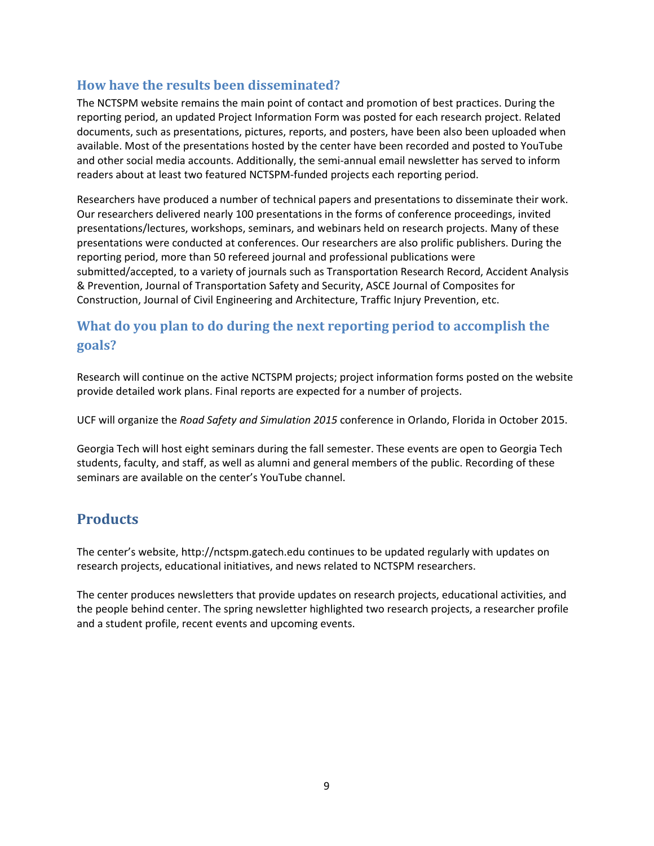# **How have the results been disseminated?**

The NCTSPM website remains the main point of contact and promotion of best practices. During the reporting period, an updated Project Information Form was posted for each research project. Related documents, such as presentations, pictures, reports, and posters, have been also been uploaded when available. Most of the presentations hosted by the center have been recorded and posted to YouTube and other social media accounts. Additionally, the semi-annual email newsletter has served to inform readers about at least two featured NCTSPM‐funded projects each reporting period.

Researchers have produced a number of technical papers and presentations to disseminate their work. Our researchers delivered nearly 100 presentations in the forms of conference proceedings, invited presentations/lectures, workshops, seminars, and webinars held on research projects. Many of these presentations were conducted at conferences. Our researchers are also prolific publishers. During the reporting period, more than 50 refereed journal and professional publications were submitted/accepted, to a variety of journals such as Transportation Research Record, Accident Analysis & Prevention, Journal of Transportation Safety and Security, ASCE Journal of Composites for Construction, Journal of Civil Engineering and Architecture, Traffic Injury Prevention, etc.

# **What do you plan to do during the next reporting period to accomplish the goals?**

Research will continue on the active NCTSPM projects; project information forms posted on the website provide detailed work plans. Final reports are expected for a number of projects.

UCF will organize the *Road Safety and Simulation 2015* conference in Orlando, Florida in October 2015.

Georgia Tech will host eight seminars during the fall semester. These events are open to Georgia Tech students, faculty, and staff, as well as alumni and general members of the public. Recording of these seminars are available on the center's YouTube channel.

# **Products**

The center's website, http://nctspm.gatech.edu continues to be updated regularly with updates on research projects, educational initiatives, and news related to NCTSPM researchers.

The center produces newsletters that provide updates on research projects, educational activities, and the people behind center. The spring newsletter highlighted two research projects, a researcher profile and a student profile, recent events and upcoming events.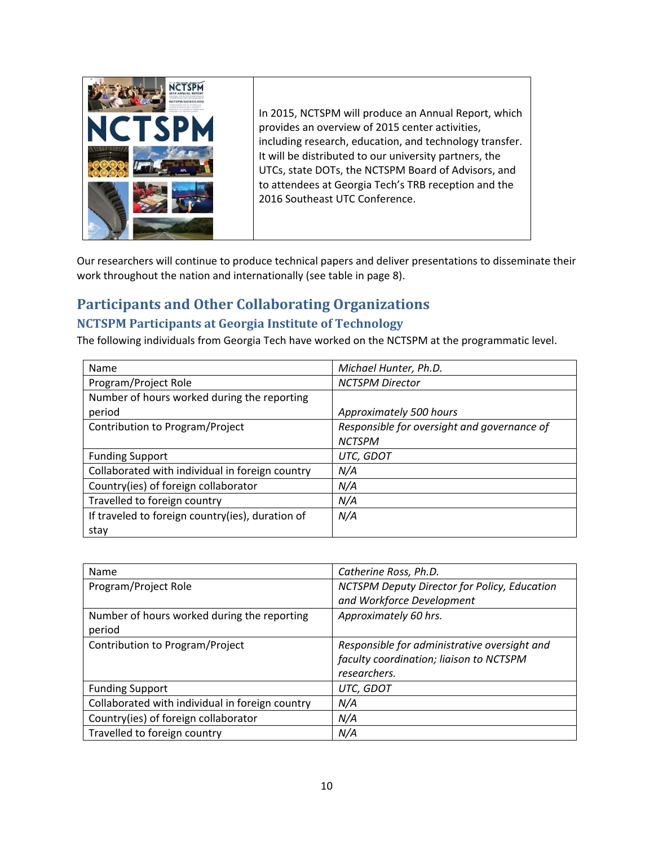

In 2015, NCTSPM will produce an Annual Report, which provides an overview of 2015 center activities, including research, education, and technology transfer. It will be distributed to our university partners, the UTCs, state DOTs, the NCTSPM Board of Advisors, and to attendees at Georgia Tech's TRB reception and the 2016 Southeast UTC Conference.

Our researchers will continue to produce technical papers and deliver presentations to disseminate their work throughout the nation and internationally (see table in page 8).

# **Participants and Other Collaborating Organizations**

# **NCTSPM Participants at Georgia Institute of Technology**

The following individuals from Georgia Tech have worked on the NCTSPM at the programmatic level.

| Name                                             | Michael Hunter, Ph.D.                       |
|--------------------------------------------------|---------------------------------------------|
| Program/Project Role                             | <b>NCTSPM Director</b>                      |
| Number of hours worked during the reporting      |                                             |
| period                                           | Approximately 500 hours                     |
| Contribution to Program/Project                  | Responsible for oversight and governance of |
|                                                  | <b>NCTSPM</b>                               |
| <b>Funding Support</b>                           | UTC, GDOT                                   |
| Collaborated with individual in foreign country  | N/A                                         |
| Country(ies) of foreign collaborator             | N/A                                         |
| Travelled to foreign country                     | N/A                                         |
| If traveled to foreign country(ies), duration of | N/A                                         |
| stay                                             |                                             |

| Name                                            | Catherine Ross, Ph.D.                        |
|-------------------------------------------------|----------------------------------------------|
| Program/Project Role                            | NCTSPM Deputy Director for Policy, Education |
|                                                 | and Workforce Development                    |
| Number of hours worked during the reporting     | Approximately 60 hrs.                        |
| period                                          |                                              |
| Contribution to Program/Project                 | Responsible for administrative oversight and |
|                                                 | faculty coordination; liaison to NCTSPM      |
|                                                 | researchers.                                 |
| <b>Funding Support</b>                          | UTC, GDOT                                    |
| Collaborated with individual in foreign country | N/A                                          |
| Country(ies) of foreign collaborator            | N/A                                          |
| Travelled to foreign country                    | N/A                                          |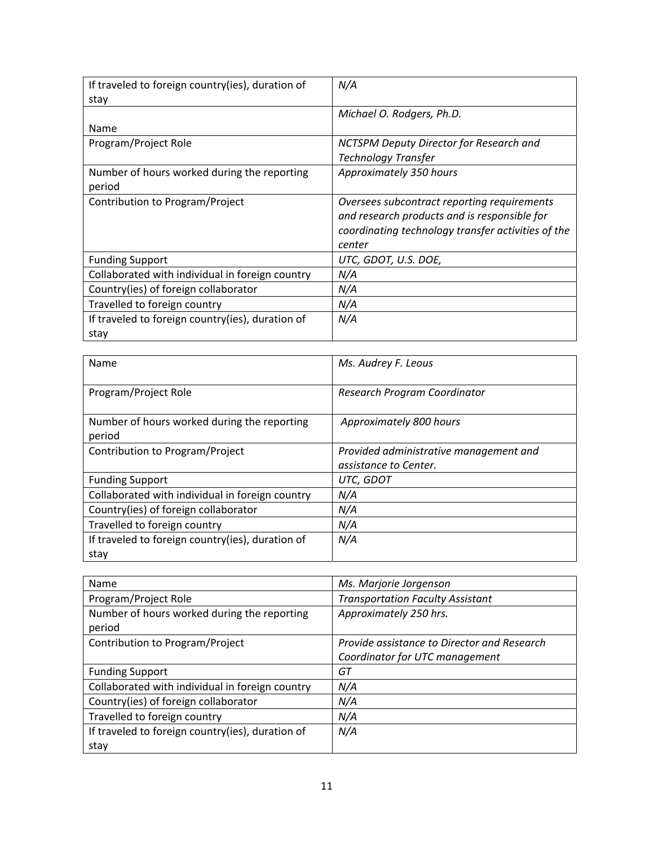| If traveled to foreign country(ies), duration of | N/A                                                |
|--------------------------------------------------|----------------------------------------------------|
| stay                                             |                                                    |
|                                                  | Michael O. Rodgers, Ph.D.                          |
| Name                                             |                                                    |
| Program/Project Role                             | NCTSPM Deputy Director for Research and            |
|                                                  | Technology Transfer                                |
| Number of hours worked during the reporting      | Approximately 350 hours                            |
| period                                           |                                                    |
| Contribution to Program/Project                  | Oversees subcontract reporting requirements        |
|                                                  | and research products and is responsible for       |
|                                                  | coordinating technology transfer activities of the |
|                                                  | center                                             |
| <b>Funding Support</b>                           | UTC, GDOT, U.S. DOE,                               |
| Collaborated with individual in foreign country  | N/A                                                |
| Country(ies) of foreign collaborator             | N/A                                                |
| Travelled to foreign country                     | N/A                                                |
| If traveled to foreign country(ies), duration of | N/A                                                |
| stay                                             |                                                    |

| Name                                                  | Ms. Audrey F. Leous                                             |
|-------------------------------------------------------|-----------------------------------------------------------------|
| Program/Project Role                                  | Research Program Coordinator                                    |
| Number of hours worked during the reporting<br>period | Approximately 800 hours                                         |
| Contribution to Program/Project                       | Provided administrative management and<br>assistance to Center. |
| <b>Funding Support</b>                                | UTC, GDOT                                                       |
| Collaborated with individual in foreign country       | N/A                                                             |
| Country(ies) of foreign collaborator                  | N/A                                                             |
| Travelled to foreign country                          | N/A                                                             |
| If traveled to foreign country(ies), duration of      | N/A                                                             |
| stay                                                  |                                                                 |

| Name                                             | Ms. Marjorie Jorgenson                      |
|--------------------------------------------------|---------------------------------------------|
| Program/Project Role                             | <b>Transportation Faculty Assistant</b>     |
| Number of hours worked during the reporting      | Approximately 250 hrs.                      |
| period                                           |                                             |
| Contribution to Program/Project                  | Provide assistance to Director and Research |
|                                                  | Coordinator for UTC management              |
| <b>Funding Support</b>                           | GТ                                          |
| Collaborated with individual in foreign country  | N/A                                         |
| Country(ies) of foreign collaborator             | N/A                                         |
| Travelled to foreign country                     | N/A                                         |
| If traveled to foreign country(ies), duration of | N/A                                         |
| stay                                             |                                             |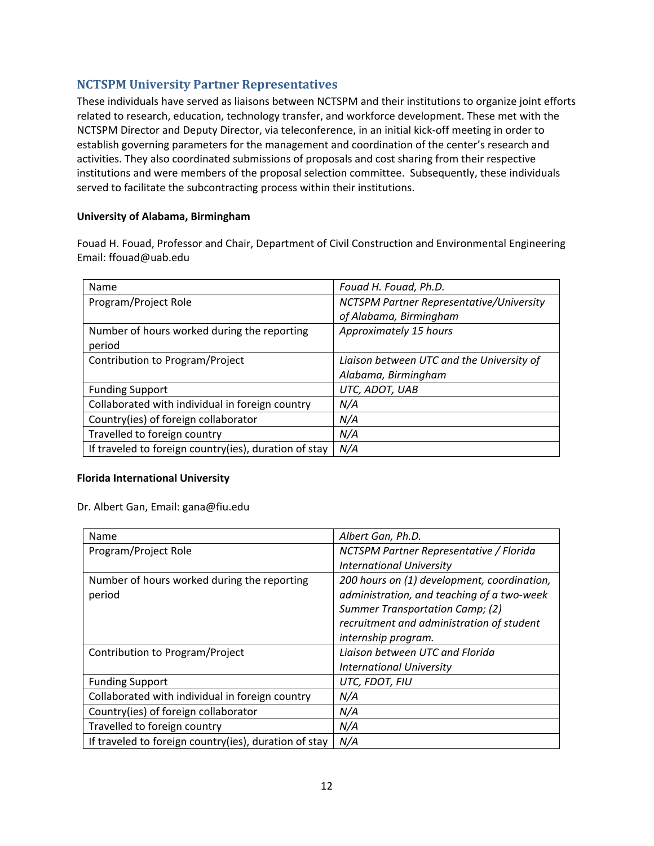### **NCTSPM University Partner Representatives**

These individuals have served as liaisons between NCTSPM and their institutions to organize joint efforts related to research, education, technology transfer, and workforce development. These met with the NCTSPM Director and Deputy Director, via teleconference, in an initial kick‐off meeting in order to establish governing parameters for the management and coordination of the center's research and activities. They also coordinated submissions of proposals and cost sharing from their respective institutions and were members of the proposal selection committee. Subsequently, these individuals served to facilitate the subcontracting process within their institutions.

#### **University of Alabama, Birmingham**

Fouad H. Fouad, Professor and Chair, Department of Civil Construction and Environmental Engineering Email: ffouad@uab.edu

| Name                                                  | Fouad H. Fouad, Ph.D.                     |
|-------------------------------------------------------|-------------------------------------------|
| Program/Project Role                                  | NCTSPM Partner Representative/University  |
|                                                       | of Alabama, Birmingham                    |
| Number of hours worked during the reporting           | Approximately 15 hours                    |
| period                                                |                                           |
| Contribution to Program/Project                       | Liaison between UTC and the University of |
|                                                       | Alabama, Birmingham                       |
| <b>Funding Support</b>                                | UTC, ADOT, UAB                            |
| Collaborated with individual in foreign country       | N/A                                       |
| Country(ies) of foreign collaborator                  | N/A                                       |
| Travelled to foreign country                          | N/A                                       |
| If traveled to foreign country(ies), duration of stay | N/A                                       |

#### **Florida International University**

Dr. Albert Gan, Email: gana@fiu.edu

| Name                                                  | Albert Gan, Ph.D.                           |
|-------------------------------------------------------|---------------------------------------------|
| Program/Project Role                                  | NCTSPM Partner Representative / Florida     |
|                                                       | <b>International University</b>             |
| Number of hours worked during the reporting           | 200 hours on (1) development, coordination, |
| period                                                | administration, and teaching of a two-week  |
|                                                       | Summer Transportation Camp; (2)             |
|                                                       | recruitment and administration of student   |
|                                                       | internship program.                         |
| Contribution to Program/Project                       | Liaison between UTC and Florida             |
|                                                       | <b>International University</b>             |
| <b>Funding Support</b>                                | UTC, FDOT, FIU                              |
| Collaborated with individual in foreign country       | N/A                                         |
| Country(ies) of foreign collaborator                  | N/A                                         |
| Travelled to foreign country                          | N/A                                         |
| If traveled to foreign country(ies), duration of stay | N/A                                         |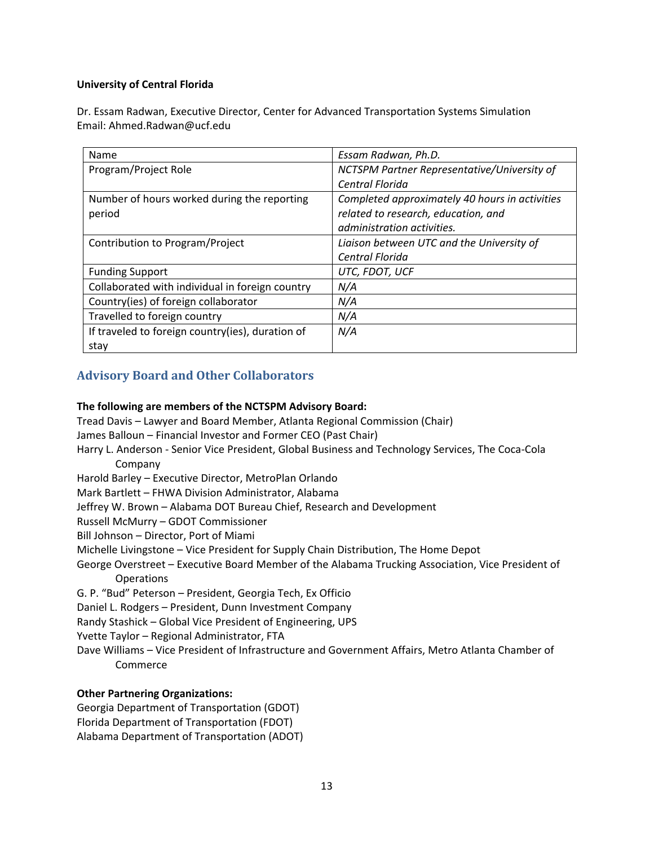#### **University of Central Florida**

Dr. Essam Radwan, Executive Director, Center for Advanced Transportation Systems Simulation Email: Ahmed.Radwan@ucf.edu

| Name                                             | Essam Radwan, Ph.D.                            |
|--------------------------------------------------|------------------------------------------------|
| Program/Project Role                             | NCTSPM Partner Representative/University of    |
|                                                  | Central Florida                                |
| Number of hours worked during the reporting      | Completed approximately 40 hours in activities |
| period                                           | related to research, education, and            |
|                                                  | administration activities.                     |
| Contribution to Program/Project                  | Liaison between UTC and the University of      |
|                                                  | Central Florida                                |
| <b>Funding Support</b>                           | UTC, FDOT, UCF                                 |
| Collaborated with individual in foreign country  | N/A                                            |
| Country(ies) of foreign collaborator             | N/A                                            |
| Travelled to foreign country                     | N/A                                            |
| If traveled to foreign country(ies), duration of | N/A                                            |
| stay                                             |                                                |

### **Advisory Board and Other Collaborators**

#### **The following are members of the NCTSPM Advisory Board:**

Tread Davis – Lawyer and Board Member, Atlanta Regional Commission (Chair)

James Balloun – Financial Investor and Former CEO (Past Chair)

- Harry L. Anderson ‐ Senior Vice President, Global Business and Technology Services, The Coca‐Cola Company
- Harold Barley Executive Director, MetroPlan Orlando
- Mark Bartlett FHWA Division Administrator, Alabama
- Jeffrey W. Brown Alabama DOT Bureau Chief, Research and Development

Russell McMurry – GDOT Commissioner

Bill Johnson – Director, Port of Miami

- Michelle Livingstone Vice President for Supply Chain Distribution, The Home Depot
- George Overstreet Executive Board Member of the Alabama Trucking Association, Vice President of **Operations**
- G. P. "Bud" Peterson President, Georgia Tech, Ex Officio

Daniel L. Rodgers – President, Dunn Investment Company

Randy Stashick – Global Vice President of Engineering, UPS

Yvette Taylor – Regional Administrator, FTA

Dave Williams – Vice President of Infrastructure and Government Affairs, Metro Atlanta Chamber of Commerce

#### **Other Partnering Organizations:**

Georgia Department of Transportation (GDOT) Florida Department of Transportation (FDOT) Alabama Department of Transportation (ADOT)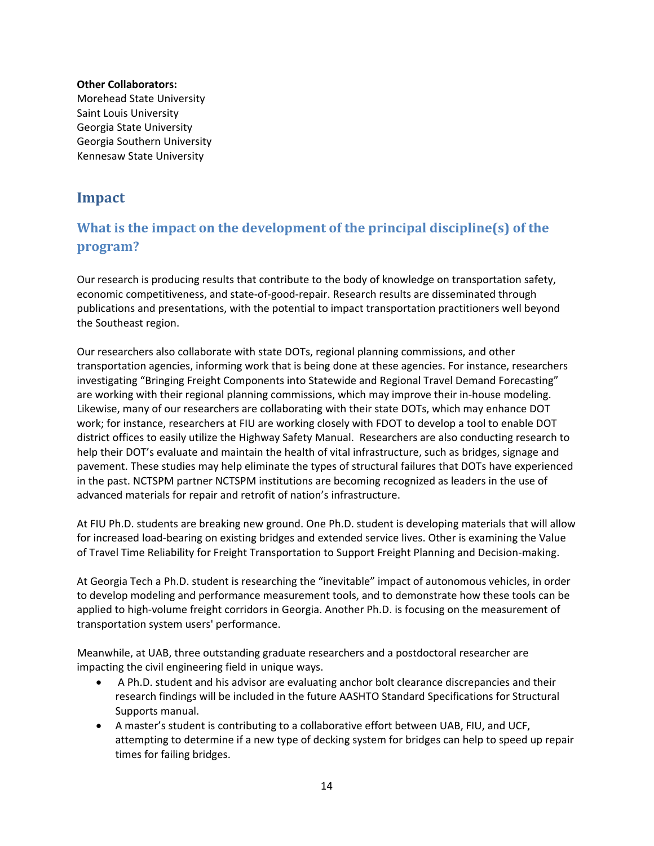#### **Other Collaborators:** Morehead State University Saint Louis University Georgia State University Georgia Southern University Kennesaw State University

# **Impact**

# **What is the impact on the development of the principal discipline(s) of the program?**

Our research is producing results that contribute to the body of knowledge on transportation safety, economic competitiveness, and state‐of‐good‐repair. Research results are disseminated through publications and presentations, with the potential to impact transportation practitioners well beyond the Southeast region.

Our researchers also collaborate with state DOTs, regional planning commissions, and other transportation agencies, informing work that is being done at these agencies. For instance, researchers investigating "Bringing Freight Components into Statewide and Regional Travel Demand Forecasting" are working with their regional planning commissions, which may improve their in‐house modeling. Likewise, many of our researchers are collaborating with their state DOTs, which may enhance DOT work; for instance, researchers at FIU are working closely with FDOT to develop a tool to enable DOT district offices to easily utilize the Highway Safety Manual. Researchers are also conducting research to help their DOT's evaluate and maintain the health of vital infrastructure, such as bridges, signage and pavement. These studies may help eliminate the types of structural failures that DOTs have experienced in the past. NCTSPM partner NCTSPM institutions are becoming recognized as leaders in the use of advanced materials for repair and retrofit of nation's infrastructure.

At FIU Ph.D. students are breaking new ground. One Ph.D. student is developing materials that will allow for increased load-bearing on existing bridges and extended service lives. Other is examining the Value of Travel Time Reliability for Freight Transportation to Support Freight Planning and Decision‐making.

At Georgia Tech a Ph.D. student is researching the "inevitable" impact of autonomous vehicles, in order to develop modeling and performance measurement tools, and to demonstrate how these tools can be applied to high-volume freight corridors in Georgia. Another Ph.D. is focusing on the measurement of transportation system users' performance.

Meanwhile, at UAB, three outstanding graduate researchers and a postdoctoral researcher are impacting the civil engineering field in unique ways.

- A Ph.D. student and his advisor are evaluating anchor bolt clearance discrepancies and their research findings will be included in the future AASHTO Standard Specifications for Structural Supports manual.
- A master's student is contributing to a collaborative effort between UAB, FIU, and UCF, attempting to determine if a new type of decking system for bridges can help to speed up repair times for failing bridges.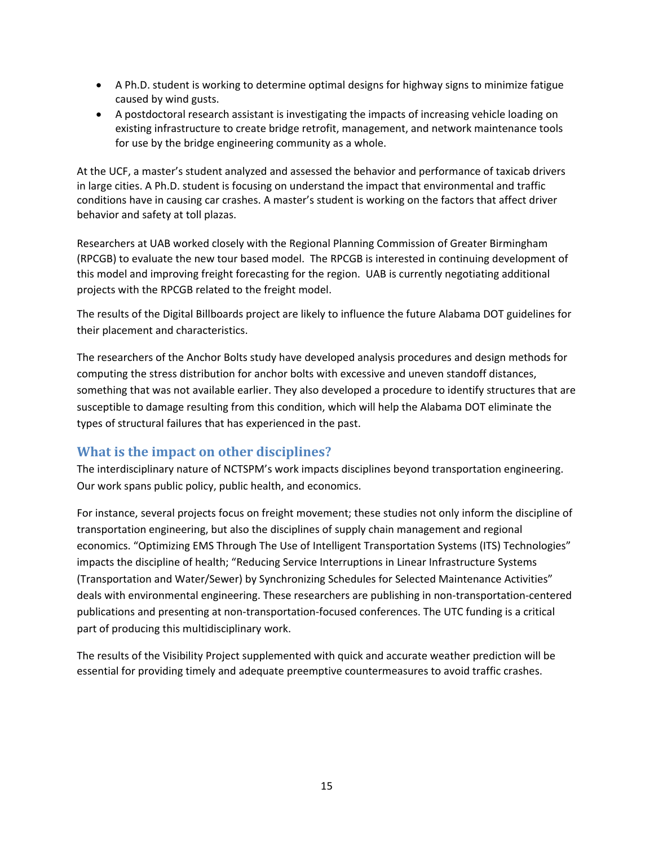- A Ph.D. student is working to determine optimal designs for highway signs to minimize fatigue caused by wind gusts.
- A postdoctoral research assistant is investigating the impacts of increasing vehicle loading on existing infrastructure to create bridge retrofit, management, and network maintenance tools for use by the bridge engineering community as a whole.

At the UCF, a master's student analyzed and assessed the behavior and performance of taxicab drivers in large cities. A Ph.D. student is focusing on understand the impact that environmental and traffic conditions have in causing car crashes. A master's student is working on the factors that affect driver behavior and safety at toll plazas.

Researchers at UAB worked closely with the Regional Planning Commission of Greater Birmingham (RPCGB) to evaluate the new tour based model. The RPCGB is interested in continuing development of this model and improving freight forecasting for the region. UAB is currently negotiating additional projects with the RPCGB related to the freight model.

The results of the Digital Billboards project are likely to influence the future Alabama DOT guidelines for their placement and characteristics.

The researchers of the Anchor Bolts study have developed analysis procedures and design methods for computing the stress distribution for anchor bolts with excessive and uneven standoff distances, something that was not available earlier. They also developed a procedure to identify structures that are susceptible to damage resulting from this condition, which will help the Alabama DOT eliminate the types of structural failures that has experienced in the past.

# **What is the impact on other disciplines?**

The interdisciplinary nature of NCTSPM's work impacts disciplines beyond transportation engineering. Our work spans public policy, public health, and economics.

For instance, several projects focus on freight movement; these studies not only inform the discipline of transportation engineering, but also the disciplines of supply chain management and regional economics. "Optimizing EMS Through The Use of Intelligent Transportation Systems (ITS) Technologies" impacts the discipline of health; "Reducing Service Interruptions in Linear Infrastructure Systems (Transportation and Water/Sewer) by Synchronizing Schedules for Selected Maintenance Activities" deals with environmental engineering. These researchers are publishing in non‐transportation‐centered publications and presenting at non‐transportation‐focused conferences. The UTC funding is a critical part of producing this multidisciplinary work.

The results of the Visibility Project supplemented with quick and accurate weather prediction will be essential for providing timely and adequate preemptive countermeasures to avoid traffic crashes.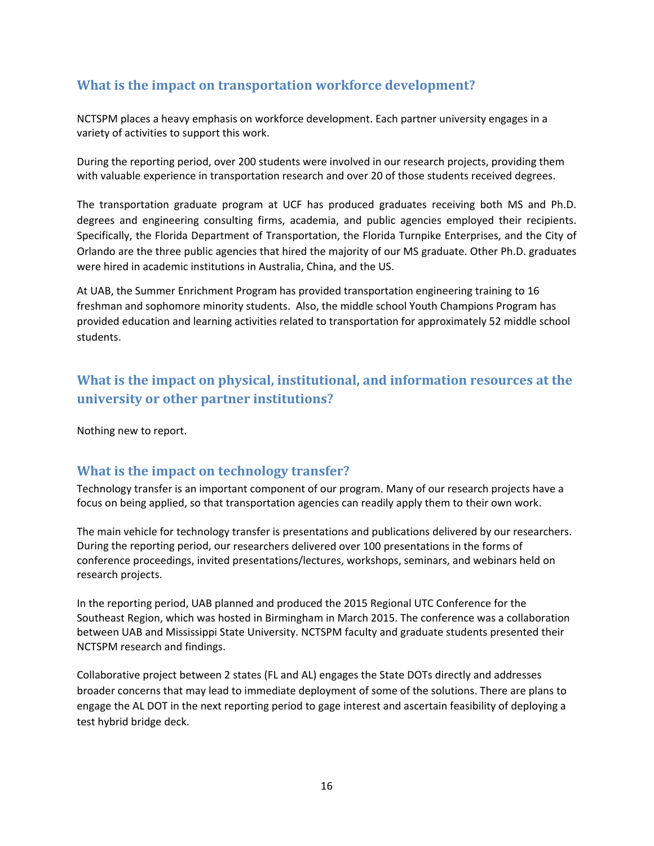# **What is the impact on transportation workforce development?**

NCTSPM places a heavy emphasis on workforce development. Each partner university engages in a variety of activities to support this work.

During the reporting period, over 200 students were involved in our research projects, providing them with valuable experience in transportation research and over 20 of those students received degrees.

The transportation graduate program at UCF has produced graduates receiving both MS and Ph.D. degrees and engineering consulting firms, academia, and public agencies employed their recipients. Specifically, the Florida Department of Transportation, the Florida Turnpike Enterprises, and the City of Orlando are the three public agencies that hired the majority of our MS graduate. Other Ph.D. graduates were hired in academic institutions in Australia, China, and the US.

At UAB, the Summer Enrichment Program has provided transportation engineering training to 16 freshman and sophomore minority students. Also, the middle school Youth Champions Program has provided education and learning activities related to transportation for approximately 52 middle school students.

# **What is the impact on physical, institutional, and information resources at the university or other partner institutions?**

Nothing new to report.

# **What is the impact on technology transfer?**

Technology transfer is an important component of our program. Many of our research projects have a focus on being applied, so that transportation agencies can readily apply them to their own work.

The main vehicle for technology transfer is presentations and publications delivered by our researchers. During the reporting period, our researchers delivered over 100 presentations in the forms of conference proceedings, invited presentations/lectures, workshops, seminars, and webinars held on research projects.

In the reporting period, UAB planned and produced the 2015 Regional UTC Conference for the Southeast Region, which was hosted in Birmingham in March 2015. The conference was a collaboration between UAB and Mississippi State University. NCTSPM faculty and graduate students presented their NCTSPM research and findings.

Collaborative project between 2 states (FL and AL) engages the State DOTs directly and addresses broader concerns that may lead to immediate deployment of some of the solutions. There are plans to engage the AL DOT in the next reporting period to gage interest and ascertain feasibility of deploying a test hybrid bridge deck.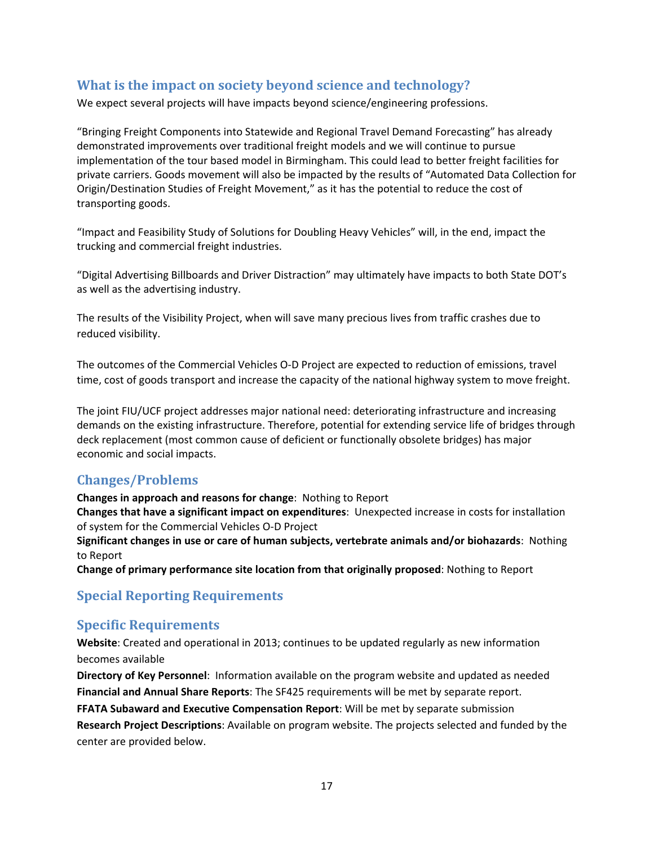# **What is the impact on society beyond science and technology?**

We expect several projects will have impacts beyond science/engineering professions.

"Bringing Freight Components into Statewide and Regional Travel Demand Forecasting" has already demonstrated improvements over traditional freight models and we will continue to pursue implementation of the tour based model in Birmingham. This could lead to better freight facilities for private carriers. Goods movement will also be impacted by the results of "Automated Data Collection for Origin/Destination Studies of Freight Movement," as it has the potential to reduce the cost of transporting goods.

"Impact and Feasibility Study of Solutions for Doubling Heavy Vehicles" will, in the end, impact the trucking and commercial freight industries.

"Digital Advertising Billboards and Driver Distraction" may ultimately have impacts to both State DOT's as well as the advertising industry.

The results of the Visibility Project, when will save many precious lives from traffic crashes due to reduced visibility.

The outcomes of the Commercial Vehicles O‐D Project are expected to reduction of emissions, travel time, cost of goods transport and increase the capacity of the national highway system to move freight.

The joint FIU/UCF project addresses major national need: deteriorating infrastructure and increasing demands on the existing infrastructure. Therefore, potential for extending service life of bridges through deck replacement (most common cause of deficient or functionally obsolete bridges) has major economic and social impacts.

# **Changes/Problems**

**Changes in approach and reasons for change**: Nothing to Report

**Changes that have a significant impact on expenditures**: Unexpected increase in costs for installation of system for the Commercial Vehicles O‐D Project

**Significant changes in use or care of human subjects, vertebrate animals and/or biohazards**: Nothing to Report

**Change of primary performance site location from that originally proposed**: Nothing to Report

# **Special Reporting Requirements**

### **Specific Requirements**

**Website**: Created and operational in 2013; continues to be updated regularly as new information becomes available

**Directory of Key Personnel**: Information available on the program website and updated as needed **Financial and Annual Share Reports**: The SF425 requirements will be met by separate report. **FFATA Subaward and Executive Compensation Report**: Will be met by separate submission **Research Project Descriptions**: Available on program website. The projects selected and funded by the center are provided below.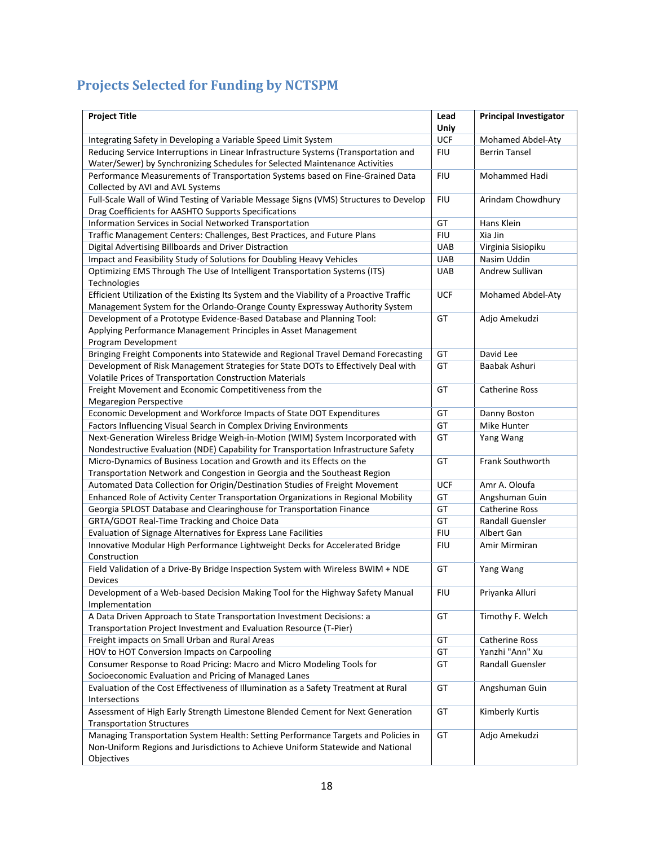# **Projects Selected for Funding by NCTSPM**

| <b>Project Title</b>                                                                            | Lead<br>Uniy | <b>Principal Investigator</b> |
|-------------------------------------------------------------------------------------------------|--------------|-------------------------------|
| Integrating Safety in Developing a Variable Speed Limit System                                  | UCF          | Mohamed Abdel-Aty             |
| Reducing Service Interruptions in Linear Infrastructure Systems (Transportation and             | <b>FIU</b>   | <b>Berrin Tansel</b>          |
| Water/Sewer) by Synchronizing Schedules for Selected Maintenance Activities                     |              |                               |
| Performance Measurements of Transportation Systems based on Fine-Grained Data                   | <b>FIU</b>   | Mohammed Hadi                 |
| Collected by AVI and AVL Systems                                                                |              |                               |
| Full-Scale Wall of Wind Testing of Variable Message Signs (VMS) Structures to Develop           | <b>FIU</b>   | Arindam Chowdhury             |
| Drag Coefficients for AASHTO Supports Specifications                                            |              |                               |
| Information Services in Social Networked Transportation                                         | GT           | Hans Klein                    |
| Traffic Management Centers: Challenges, Best Practices, and Future Plans                        | <b>FIU</b>   | Xia Jin                       |
| Digital Advertising Billboards and Driver Distraction                                           | <b>UAB</b>   | Virginia Sisiopiku            |
| Impact and Feasibility Study of Solutions for Doubling Heavy Vehicles                           | UAB          | Nasim Uddin                   |
| Optimizing EMS Through The Use of Intelligent Transportation Systems (ITS)<br>Technologies      | <b>UAB</b>   | Andrew Sullivan               |
| Efficient Utilization of the Existing Its System and the Viability of a Proactive Traffic       | <b>UCF</b>   | Mohamed Abdel-Aty             |
| Management System for the Orlando-Orange County Expressway Authority System                     |              |                               |
| Development of a Prototype Evidence-Based Database and Planning Tool:                           | GT           | Adjo Amekudzi                 |
| Applying Performance Management Principles in Asset Management                                  |              |                               |
| Program Development                                                                             |              |                               |
| Bringing Freight Components into Statewide and Regional Travel Demand Forecasting               | GT           | David Lee                     |
| Development of Risk Management Strategies for State DOTs to Effectively Deal with               | GT           | Baabak Ashuri                 |
| Volatile Prices of Transportation Construction Materials                                        |              |                               |
| Freight Movement and Economic Competitiveness from the                                          | GT           | <b>Catherine Ross</b>         |
| <b>Megaregion Perspective</b>                                                                   |              |                               |
| Economic Development and Workforce Impacts of State DOT Expenditures                            | GT           | Danny Boston                  |
| Factors Influencing Visual Search in Complex Driving Environments                               | GT           | Mike Hunter                   |
| Next-Generation Wireless Bridge Weigh-in-Motion (WIM) System Incorporated with                  | GT           | Yang Wang                     |
| Nondestructive Evaluation (NDE) Capability for Transportation Infrastructure Safety             |              |                               |
| Micro-Dynamics of Business Location and Growth and its Effects on the                           | GT           | Frank Southworth              |
| Transportation Network and Congestion in Georgia and the Southeast Region                       |              |                               |
| Automated Data Collection for Origin/Destination Studies of Freight Movement                    | <b>UCF</b>   | Amr A. Oloufa                 |
| Enhanced Role of Activity Center Transportation Organizations in Regional Mobility              | GT           | Angshuman Guin                |
| Georgia SPLOST Database and Clearinghouse for Transportation Finance                            | GT           | <b>Catherine Ross</b>         |
| GRTA/GDOT Real-Time Tracking and Choice Data                                                    | GT           | Randall Guensler              |
| Evaluation of Signage Alternatives for Express Lane Facilities                                  | <b>FIU</b>   | Albert Gan                    |
| Innovative Modular High Performance Lightweight Decks for Accelerated Bridge                    | <b>FIU</b>   | Amir Mirmiran                 |
| Construction                                                                                    |              |                               |
| Field Validation of a Drive-By Bridge Inspection System with Wireless BWIM + NDE                | GT           | Yang Wang                     |
| Devices                                                                                         |              |                               |
| Development of a Web-based Decision Making Tool for the Highway Safety Manual<br>Implementation | <b>FIU</b>   | Priyanka Alluri               |
| A Data Driven Approach to State Transportation Investment Decisions: a                          | GT           | Timothy F. Welch              |
| Transportation Project Investment and Evaluation Resource (T-Pier)                              |              |                               |
| Freight impacts on Small Urban and Rural Areas                                                  | GT           | <b>Catherine Ross</b>         |
| HOV to HOT Conversion Impacts on Carpooling                                                     | GT           | Yanzhi "Ann" Xu               |
| Consumer Response to Road Pricing: Macro and Micro Modeling Tools for                           | GT           | Randall Guensler              |
| Socioeconomic Evaluation and Pricing of Managed Lanes                                           |              |                               |
| Evaluation of the Cost Effectiveness of Illumination as a Safety Treatment at Rural             | GT           | Angshuman Guin                |
| Intersections                                                                                   |              |                               |
| Assessment of High Early Strength Limestone Blended Cement for Next Generation                  | GT           | Kimberly Kurtis               |
| <b>Transportation Structures</b>                                                                |              |                               |
| Managing Transportation System Health: Setting Performance Targets and Policies in              | GT           | Adjo Amekudzi                 |
| Non-Uniform Regions and Jurisdictions to Achieve Uniform Statewide and National                 |              |                               |
| Objectives                                                                                      |              |                               |